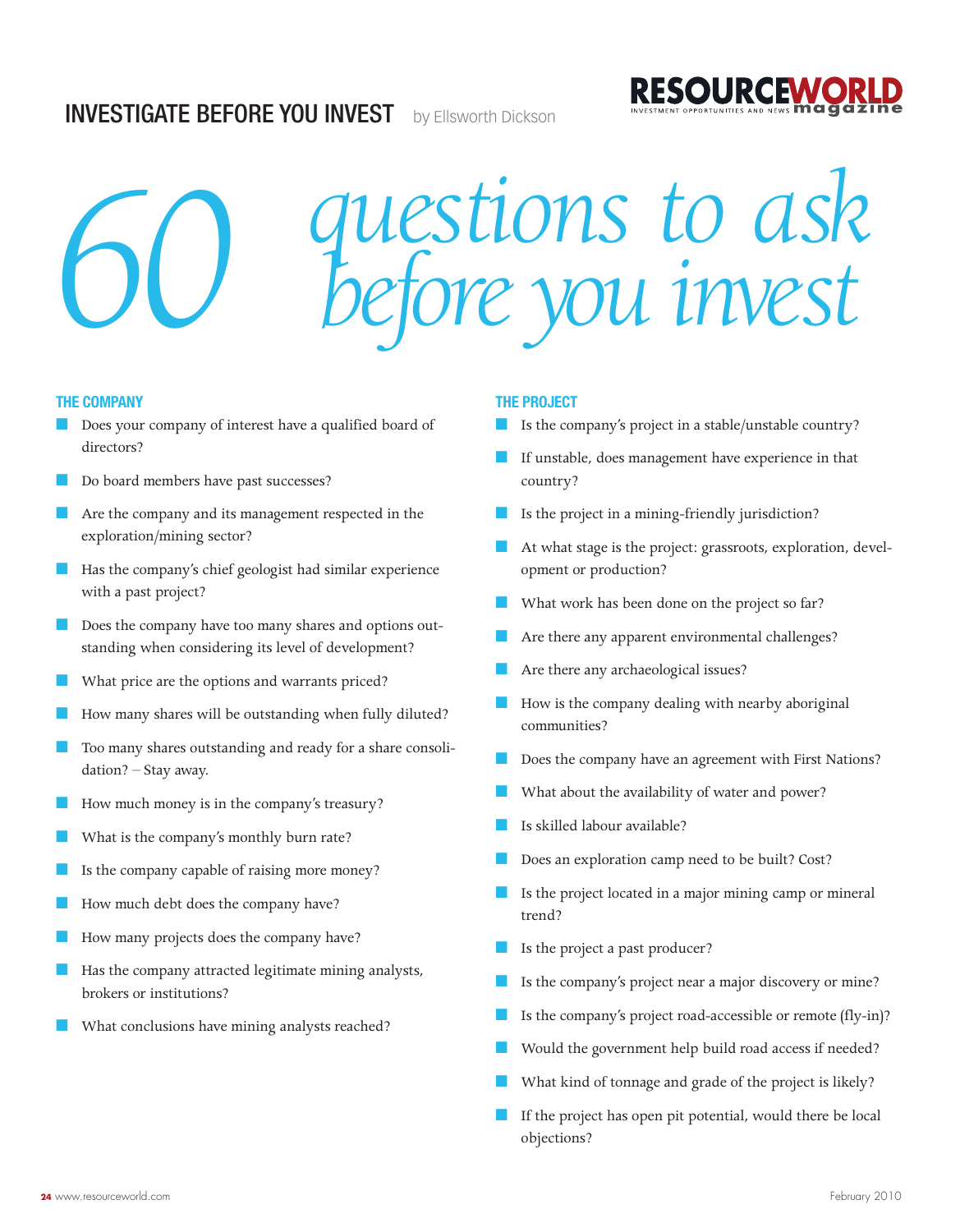# **INVESTIGATE BEFORE YOU INVEST** by Ellsworth Dickson



# *questions to ask 60 before you invest*

### **THE COMPANY**

- Does your company of interest have a qualified board of directors?
- Do board members have past successes?
- Are the company and its management respected in the exploration/mining sector?
- Has the company's chief geologist had similar experience with a past project?
- Does the company have too many shares and options outstanding when considering its level of development?
- What price are the options and warrants priced?
- How many shares will be outstanding when fully diluted?
- Too many shares outstanding and ready for a share consolidation? – Stay away.
- How much money is in the company's treasury?
- What is the company's monthly burn rate?
- Is the company capable of raising more money?
- How much debt does the company have?
- How many projects does the company have?
- Has the company attracted legitimate mining analysts, brokers or institutions?
- What conclusions have mining analysts reached?

### **THE PROJECT**

Is the company's project in a stable/unstable country?

**RESOURCEWC** 

- If unstable, does management have experience in that country?
- Is the project in a mining-friendly jurisdiction?
- At what stage is the project: grassroots, exploration, development or production?
- What work has been done on the project so far?
- Are there any apparent environmental challenges?
- Are there any archaeological issues?
- How is the company dealing with nearby aboriginal communities?
- Does the company have an agreement with First Nations?
- What about the availability of water and power?
- Is skilled labour available?
- Does an exploration camp need to be built? Cost?
- Is the project located in a major mining camp or mineral trend?
- Is the project a past producer?
- Is the company's project near a major discovery or mine?
- Is the company's project road-accessible or remote (fly-in)?
- Would the government help build road access if needed?
- What kind of tonnage and grade of the project is likely?
- If the project has open pit potential, would there be local objections?